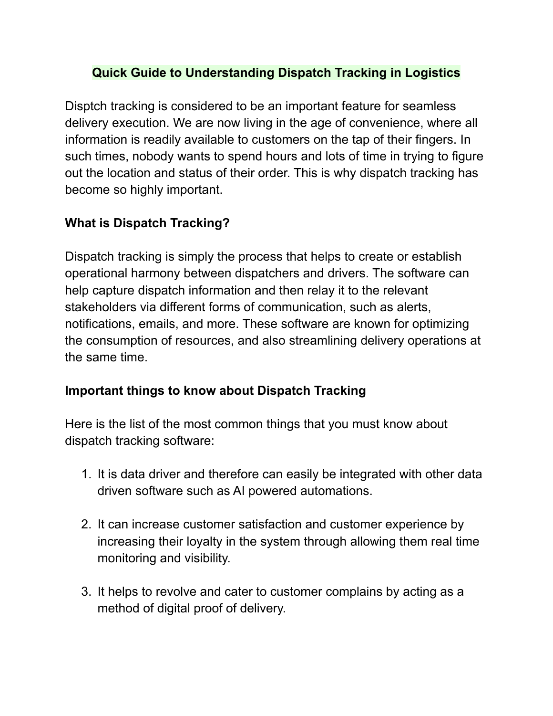## **Quick Guide to Understanding Dispatch Tracking in Logistics**

Disptch tracking is considered to be an important feature for seamless delivery execution. We are now living in the age of convenience, where all information is readily available to customers on the tap of their fingers. In such times, nobody wants to spend hours and lots of time in trying to figure out the location and status of their order. This is why dispatch tracking has become so highly important.

## **What is Dispatch Tracking?**

Dispatch tracking is simply the process that helps to create or establish operational harmony between dispatchers and drivers. The software can help capture dispatch information and then relay it to the relevant stakeholders via different forms of communication, such as alerts, notifications, emails, and more. These software are known for optimizing the consumption of resources, and also streamlining delivery operations at the same time.

## **Important things to know about Dispatch Tracking**

Here is the list of the most common things that you must know about dispatch tracking software:

- 1. It is data driver and therefore can easily be integrated with other data driven software such as AI powered automations.
- 2. It can increase customer satisfaction and customer experience by increasing their loyalty in the system through allowing them real time monitoring and visibility.
- 3. It helps to revolve and cater to customer complains by acting as a method of digital proof of delivery.